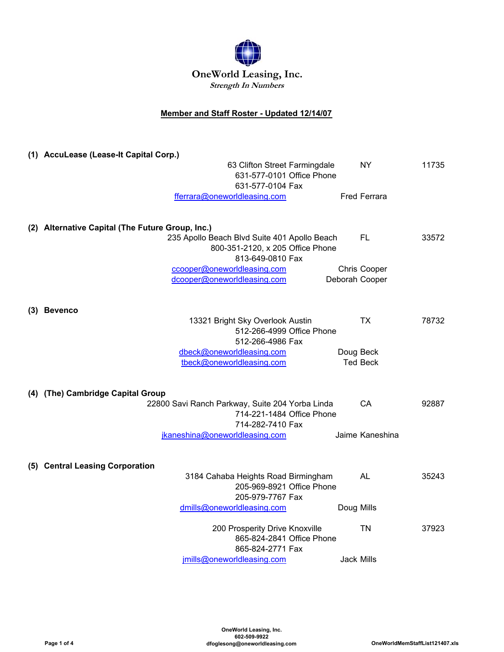

## **Member and Staff Roster - Updated 12/14/07**

| (1) AccuLease (Lease-It Capital Corp.)                        |                     |       |
|---------------------------------------------------------------|---------------------|-------|
| 63 Clifton Street Farmingdale                                 | NY.                 | 11735 |
| 631-577-0101 Office Phone                                     |                     |       |
| 631-577-0104 Fax<br>fferrara@oneworldleasing.com              | <b>Fred Ferrara</b> |       |
|                                                               |                     |       |
|                                                               |                     |       |
| (2) Alternative Capital (The Future Group, Inc.)              |                     |       |
| 235 Apollo Beach Blvd Suite 401 Apollo Beach                  | FL                  | 33572 |
| 800-351-2120, x 205 Office Phone<br>813-649-0810 Fax          |                     |       |
| ccooper@oneworldleasing.com                                   | Chris Cooper        |       |
| dcooper@oneworldleasing.com                                   | Deborah Cooper      |       |
|                                                               |                     |       |
|                                                               |                     |       |
| (3) Bevenco                                                   |                     |       |
| 13321 Bright Sky Overlook Austin<br>512-266-4999 Office Phone | TX.                 | 78732 |
| 512-266-4986 Fax                                              |                     |       |
| dbeck@oneworldleasing.com                                     | Doug Beck           |       |
| tbeck@oneworldleasing.com                                     | <b>Ted Beck</b>     |       |
|                                                               |                     |       |
| (4) (The) Cambridge Capital Group                             |                     |       |
| 22800 Savi Ranch Parkway, Suite 204 Yorba Linda               | CA.                 | 92887 |
| 714-221-1484 Office Phone                                     |                     |       |
| 714-282-7410 Fax                                              |                     |       |
| jkaneshina@oneworldleasing.com                                | Jaime Kaneshina     |       |
|                                                               |                     |       |
| (5) Central Leasing Corporation                               |                     |       |
| 3184 Cahaba Heights Road Birmingham                           | AL                  | 35243 |
| 205-969-8921 Office Phone                                     |                     |       |
| 205-979-7767 Fax                                              |                     |       |
| dmills@oneworldleasing.com                                    | Doug Mills          |       |
| 200 Prosperity Drive Knoxville                                | <b>TN</b>           | 37923 |
| 865-824-2841 Office Phone                                     |                     |       |
| 865-824-2771 Fax                                              |                     |       |
| jmills@oneworldleasing.com                                    | <b>Jack Mills</b>   |       |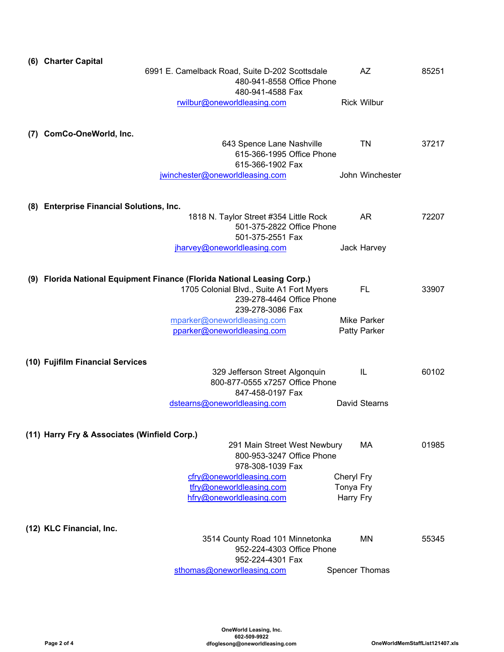| (6) Charter Capital                                                     |                                                                                                 |            |                    |       |
|-------------------------------------------------------------------------|-------------------------------------------------------------------------------------------------|------------|--------------------|-------|
|                                                                         | 6991 E. Camelback Road, Suite D-202 Scottsdale<br>480-941-8558 Office Phone<br>480-941-4588 Fax |            | AZ                 | 85251 |
|                                                                         | rwilbur@oneworldleasing.com                                                                     |            | <b>Rick Wilbur</b> |       |
| (7) ComCo-OneWorld, Inc.                                                | 643 Spence Lane Nashville                                                                       |            | TN                 | 37217 |
|                                                                         | 615-366-1995 Office Phone<br>615-366-1902 Fax                                                   |            |                    |       |
|                                                                         | jwinchester@oneworldleasing.com                                                                 |            | John Winchester    |       |
| (8) Enterprise Financial Solutions, Inc.                                |                                                                                                 |            |                    |       |
|                                                                         | 1818 N. Taylor Street #354 Little Rock<br>501-375-2822 Office Phone<br>501-375-2551 Fax         |            | <b>AR</b>          | 72207 |
|                                                                         | jharvey@oneworldleasing.com                                                                     |            | Jack Harvey        |       |
| (9) Florida National Equipment Finance (Florida National Leasing Corp.) | 1705 Colonial Blvd., Suite A1 Fort Myers                                                        |            | FL                 | 33907 |
|                                                                         | 239-278-4464 Office Phone<br>239-278-3086 Fax                                                   |            |                    |       |
|                                                                         | mparker@oneworldleasing.com                                                                     |            | <b>Mike Parker</b> |       |
| (10) Fujifilm Financial Services                                        | pparker@oneworldleasing.com<br>329 Jefferson Street Algonquin                                   |            | Patty Parker<br>IL | 60102 |
|                                                                         | 800-877-0555 x7257 Office Phone<br>847-458-0197 Fax                                             |            |                    |       |
|                                                                         | dstearns@oneworldleasing.com                                                                    |            | David Stearns      |       |
| (11) Harry Fry & Associates (Winfield Corp.)                            |                                                                                                 |            |                    |       |
|                                                                         | 291 Main Street West Newbury<br>800-953-3247 Office Phone<br>978-308-1039 Fax                   |            | MA                 | 01985 |
|                                                                         | cfry@oneworldleasing.com                                                                        | Cheryl Fry |                    |       |
|                                                                         | tfry@oneworldleasing.com                                                                        | Tonya Fry  |                    |       |
|                                                                         | hfry@oneworldleasing.com                                                                        | Harry Fry  |                    |       |
| (12) KLC Financial, Inc.                                                |                                                                                                 |            |                    |       |
|                                                                         | 3514 County Road 101 Minnetonka<br>952-224-4303 Office Phone<br>952-224-4301 Fax                |            | MN                 | 55345 |
|                                                                         | sthomas@oneworlleasing.com                                                                      |            | Spencer Thomas     |       |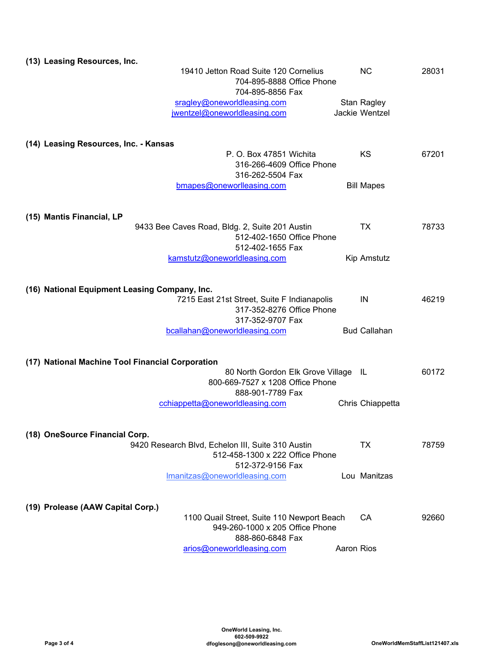| (13) Leasing Resources, Inc.                                                                             |                                      |                     |       |
|----------------------------------------------------------------------------------------------------------|--------------------------------------|---------------------|-------|
| 19410 Jetton Road Suite 120 Cornelius<br>704-895-8888 Office Phone                                       |                                      | <b>NC</b>           | 28031 |
| 704-895-8856 Fax                                                                                         |                                      |                     |       |
| sragley@oneworldleasing.com                                                                              |                                      | Stan Ragley         |       |
| jwentzel@oneworldleasing.com                                                                             |                                      | Jackie Wentzel      |       |
| (14) Leasing Resources, Inc. - Kansas                                                                    |                                      |                     |       |
| P. O. Box 47851 Wichita<br>316-266-4609 Office Phone<br>316-262-5504 Fax                                 |                                      | <b>KS</b>           | 67201 |
| bmapes@oneworlleasing.com                                                                                |                                      | <b>Bill Mapes</b>   |       |
| (15) Mantis Financial, LP                                                                                |                                      |                     |       |
| 9433 Bee Caves Road, Bldg. 2, Suite 201 Austin<br>512-402-1650 Office Phone<br>512-402-1655 Fax          |                                      | TX.                 | 78733 |
| kamstutz@oneworldleasing.com                                                                             |                                      | Kip Amstutz         |       |
| (16) National Equipment Leasing Company, Inc.                                                            |                                      |                     |       |
| 7215 East 21st Street, Suite F Indianapolis<br>317-352-8276 Office Phone<br>317-352-9707 Fax             |                                      | IN                  | 46219 |
| bcallahan@oneworldleasing.com                                                                            |                                      | <b>Bud Callahan</b> |       |
| (17) National Machine Tool Financial Corporation                                                         |                                      |                     |       |
| 800-669-7527 x 1208 Office Phone<br>888-901-7789 Fax                                                     | 80 North Gordon Elk Grove Village IL |                     | 60172 |
| cchiappetta@oneworldleasing.com                                                                          |                                      | Chris Chiappetta    |       |
| (18) OneSource Financial Corp.                                                                           |                                      |                     |       |
| 9420 Research Blvd, Echelon III, Suite 310 Austin<br>512-458-1300 x 222 Office Phone<br>512-372-9156 Fax |                                      | <b>TX</b>           | 78759 |
| Imanitzas@oneworldleasing.com                                                                            |                                      | Lou Manitzas        |       |
| (19) Prolease (AAW Capital Corp.)                                                                        |                                      |                     |       |
| 1100 Quail Street, Suite 110 Newport Beach<br>949-260-1000 x 205 Office Phone<br>888-860-6848 Fax        |                                      | <b>CA</b>           | 92660 |
| arios@oneworldleasing.com                                                                                |                                      | Aaron Rios          |       |